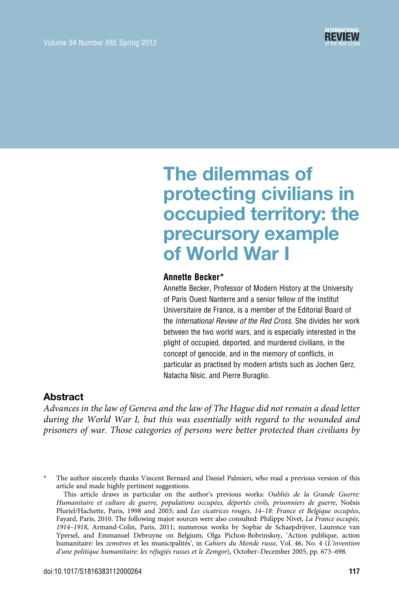

# The dilemmas of protecting civilians in occupied territory: the precursory example of World War I

### Annette Becker\*

Annette Becker, Professor of Modern History at the University of Paris Ouest Nanterre and a senior fellow of the Institut Universitaire de France, is a member of the Editorial Board of the International Review of the Red Cross. She divides her work between the two world wars, and is especially interested in the plight of occupied, deported, and murdered civilians, in the concept of genocide, and in the memory of conflicts, in particular as practised by modern artists such as Jochen Gerz, Natacha Nisic, and Pierre Buraglio.

## Abstract

Advances in the law of Geneva and the law of The Hague did not remain a dead letter during the World War I, but this was essentially with regard to the wounded and prisoners of war. Those categories of persons were better protected than civilians by

The author sincerely thanks Vincent Bernard and Daniel Palmieri, who read a previous version of this article and made highly pertinent suggestions.

This article draws in particular on the author's previous works: Oubliés de la Grande Guerre: Humanitaire et culture de guerre, populations occupées, déportés civils, prisonniers de guerre, Noêsis Pluriel/Hachette, Paris, 1998 and 2003; and Les cicatrices rouges, 14–18: France et Belgique occupées, Fayard, Paris, 2010. The following major sources were also consulted: Philippe Nivet, La France occupée, 1914–1918, Armand-Colin, Paris, 2011; numerous works by Sophie de Schaepdrijver, Laurence van Ypersel, and Emmanuel Debruyne on Belgium; Olga Pichon-Bobrinskoy, 'Action publique, action humanitaire: les zemstvos et les municipalités', in Cahiers du Monde russe, Vol. 46, No. 4 (L'invention d'une politique humanitaire: les réfugiés russes et le Zemgor), October–December 2005, pp. 673–698.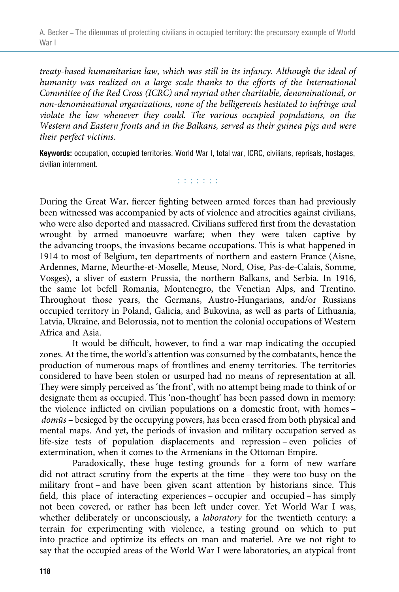A. Becker – The dilemmas of protecting civilians in occupied territory: the precursory example of World War I

treaty-based humanitarian law, which was still in its infancy. Although the ideal of humanity was realized on a large scale thanks to the efforts of the International Committee of the Red Cross (ICRC) and myriad other charitable, denominational, or non-denominational organizations, none of the belligerents hesitated to infringe and violate the law whenever they could. The various occupied populations, on the Western and Eastern fronts and in the Balkans, served as their guinea pigs and were their perfect victims.

Keywords: occupation, occupied territories, World War I, total war, ICRC, civilians, reprisals, hostages, civilian internment.

**Edition** 

During the Great War, fiercer fighting between armed forces than had previously been witnessed was accompanied by acts of violence and atrocities against civilians, who were also deported and massacred. Civilians suffered first from the devastation wrought by armed manoeuvre warfare; when they were taken captive by the advancing troops, the invasions became occupations. This is what happened in 1914 to most of Belgium, ten departments of northern and eastern France (Aisne, Ardennes, Marne, Meurthe-et-Moselle, Meuse, Nord, Oise, Pas-de-Calais, Somme, Vosges), a sliver of eastern Prussia, the northern Balkans, and Serbia. In 1916, the same lot befell Romania, Montenegro, the Venetian Alps, and Trentino. Throughout those years, the Germans, Austro-Hungarians, and/or Russians occupied territory in Poland, Galicia, and Bukovina, as well as parts of Lithuania, Latvia, Ukraine, and Belorussia, not to mention the colonial occupations of Western Africa and Asia.

It would be difficult, however, to find a war map indicating the occupied zones. At the time, the world's attention was consumed by the combatants, hence the production of numerous maps of frontlines and enemy territories. The territories considered to have been stolen or usurped had no means of representation at all. They were simply perceived as 'the front', with no attempt being made to think of or designate them as occupied. This 'non-thought' has been passed down in memory: the violence inflicted on civilian populations on a domestic front, with homes –  $dom\bar{u}s$  – besieged by the occupying powers, has been erased from both physical and mental maps. And yet, the periods of invasion and military occupation served as life-size tests of population displacements and repression – even policies of extermination, when it comes to the Armenians in the Ottoman Empire.

Paradoxically, these huge testing grounds for a form of new warfare did not attract scrutiny from the experts at the time – they were too busy on the military front – and have been given scant attention by historians since. This field, this place of interacting experiences – occupier and occupied – has simply not been covered, or rather has been left under cover. Yet World War I was, whether deliberately or unconsciously, a *laboratory* for the twentieth century: a terrain for experimenting with violence, a testing ground on which to put into practice and optimize its effects on man and materiel. Are we not right to say that the occupied areas of the World War I were laboratories, an atypical front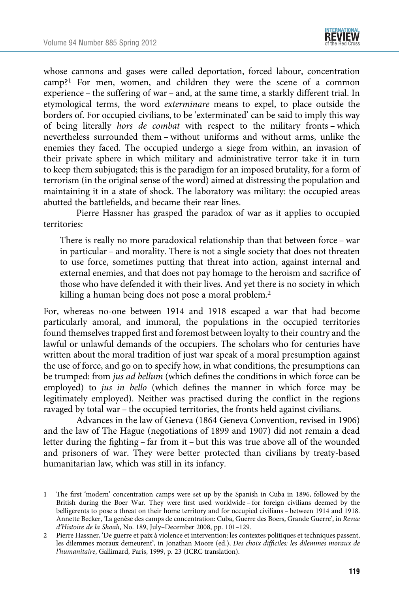whose cannons and gases were called deportation, forced labour, concentration camp?<sup>1</sup> For men, women, and children they were the scene of a common experience – the suffering of war – and, at the same time, a starkly different trial. In etymological terms, the word exterminare means to expel, to place outside the borders of. For occupied civilians, to be 'exterminated' can be said to imply this way of being literally hors de combat with respect to the military fronts – which nevertheless surrounded them – without uniforms and without arms, unlike the enemies they faced. The occupied undergo a siege from within, an invasion of their private sphere in which military and administrative terror take it in turn to keep them subjugated; this is the paradigm for an imposed brutality, for a form of terrorism (in the original sense of the word) aimed at distressing the population and maintaining it in a state of shock. The laboratory was military: the occupied areas abutted the battlefields, and became their rear lines.

Pierre Hassner has grasped the paradox of war as it applies to occupied territories:

There is really no more paradoxical relationship than that between force – war in particular – and morality. There is not a single society that does not threaten to use force, sometimes putting that threat into action, against internal and external enemies, and that does not pay homage to the heroism and sacrifice of those who have defended it with their lives. And yet there is no society in which killing a human being does not pose a moral problem.2

For, whereas no-one between 1914 and 1918 escaped a war that had become particularly amoral, and immoral, the populations in the occupied territories found themselves trapped first and foremost between loyalty to their country and the lawful or unlawful demands of the occupiers. The scholars who for centuries have written about the moral tradition of just war speak of a moral presumption against the use of force, and go on to specify how, in what conditions, the presumptions can be trumped: from jus ad bellum (which defines the conditions in which force can be employed) to *jus in bello* (which defines the manner in which force may be legitimately employed). Neither was practised during the conflict in the regions ravaged by total war – the occupied territories, the fronts held against civilians.

Advances in the law of Geneva (1864 Geneva Convention, revised in 1906) and the law of The Hague (negotiations of 1899 and 1907) did not remain a dead letter during the fighting – far from it – but this was true above all of the wounded and prisoners of war. They were better protected than civilians by treaty-based humanitarian law, which was still in its infancy.

<sup>1</sup> The first 'modern' concentration camps were set up by the Spanish in Cuba in 1896, followed by the British during the Boer War. They were first used worldwide – for foreign civilians deemed by the belligerents to pose a threat on their home territory and for occupied civilians – between 1914 and 1918. Annette Becker, 'La genèse des camps de concentration: Cuba, Guerre des Boers, Grande Guerre', in Revue d'Histoire de la Shoah, No. 189, July–December 2008, pp. 101–129.

<sup>2</sup> Pierre Hassner, 'De guerre et paix à violence et intervention: les contextes politiques et techniques passent, les dilemmes moraux demeurent', in Jonathan Moore (ed.), Des choix difficiles: les dilemmes moraux de l'humanitaire, Gallimard, Paris, 1999, p. 23 (ICRC translation).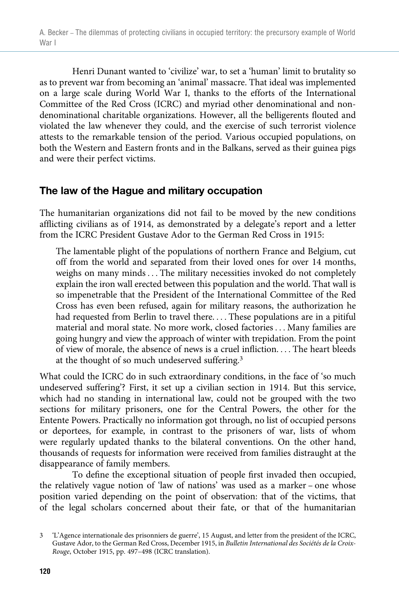Henri Dunant wanted to 'civilize' war, to set a 'human' limit to brutality so as to prevent war from becoming an 'animal' massacre. That ideal was implemented on a large scale during World War I, thanks to the efforts of the International Committee of the Red Cross (ICRC) and myriad other denominational and nondenominational charitable organizations. However, all the belligerents flouted and violated the law whenever they could, and the exercise of such terrorist violence attests to the remarkable tension of the period. Various occupied populations, on both the Western and Eastern fronts and in the Balkans, served as their guinea pigs and were their perfect victims.

# The law of the Hague and military occupation

The humanitarian organizations did not fail to be moved by the new conditions afflicting civilians as of 1914, as demonstrated by a delegate's report and a letter from the ICRC President Gustave Ador to the German Red Cross in 1915:

The lamentable plight of the populations of northern France and Belgium, cut off from the world and separated from their loved ones for over 14 months, weighs on many minds ... The military necessities invoked do not completely explain the iron wall erected between this population and the world. That wall is so impenetrable that the President of the International Committee of the Red Cross has even been refused, again for military reasons, the authorization he had requested from Berlin to travel there. ... These populations are in a pitiful material and moral state. No more work, closed factories ... Many families are going hungry and view the approach of winter with trepidation. From the point of view of morale, the absence of news is a cruel infliction. ... The heart bleeds at the thought of so much undeserved suffering.<sup>3</sup>

What could the ICRC do in such extraordinary conditions, in the face of 'so much undeserved suffering'? First, it set up a civilian section in 1914. But this service, which had no standing in international law, could not be grouped with the two sections for military prisoners, one for the Central Powers, the other for the Entente Powers. Practically no information got through, no list of occupied persons or deportees, for example, in contrast to the prisoners of war, lists of whom were regularly updated thanks to the bilateral conventions. On the other hand, thousands of requests for information were received from families distraught at the disappearance of family members.

To define the exceptional situation of people first invaded then occupied, the relatively vague notion of 'law of nations' was used as a marker – one whose position varied depending on the point of observation: that of the victims, that of the legal scholars concerned about their fate, or that of the humanitarian

<sup>3</sup> 'L'Agence internationale des prisonniers de guerre', 15 August, and letter from the president of the ICRC, Gustave Ador, to the German Red Cross, December 1915, in Bulletin International des Sociétés de la Croix-Rouge, October 1915, pp. 497–498 (ICRC translation).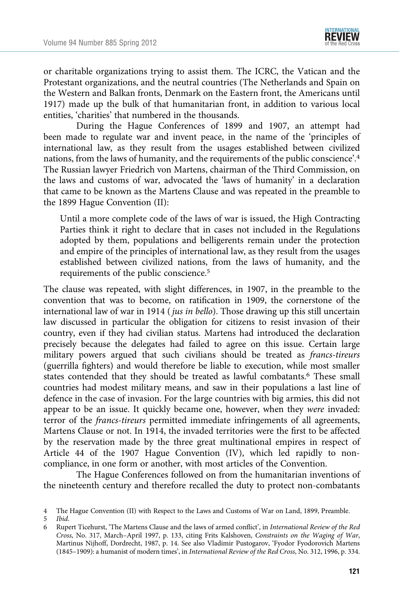or charitable organizations trying to assist them. The ICRC, the Vatican and the Protestant organizations, and the neutral countries (The Netherlands and Spain on the Western and Balkan fronts, Denmark on the Eastern front, the Americans until 1917) made up the bulk of that humanitarian front, in addition to various local entities, 'charities' that numbered in the thousands.

During the Hague Conferences of 1899 and 1907, an attempt had been made to regulate war and invent peace, in the name of the 'principles of international law, as they result from the usages established between civilized nations, from the laws of humanity, and the requirements of the public conscience'. 4 The Russian lawyer Friedrich von Martens, chairman of the Third Commission, on the laws and customs of war, advocated the 'laws of humanity' in a declaration that came to be known as the Martens Clause and was repeated in the preamble to the 1899 Hague Convention (II):

Until a more complete code of the laws of war is issued, the High Contracting Parties think it right to declare that in cases not included in the Regulations adopted by them, populations and belligerents remain under the protection and empire of the principles of international law, as they result from the usages established between civilized nations, from the laws of humanity, and the requirements of the public conscience.5

The clause was repeated, with slight differences, in 1907, in the preamble to the convention that was to become, on ratification in 1909, the cornerstone of the international law of war in 1914 (*jus in bello*). Those drawing up this still uncertain law discussed in particular the obligation for citizens to resist invasion of their country, even if they had civilian status. Martens had introduced the declaration precisely because the delegates had failed to agree on this issue. Certain large military powers argued that such civilians should be treated as francs-tireurs (guerrilla fighters) and would therefore be liable to execution, while most smaller states contended that they should be treated as lawful combatants.<sup>6</sup> These small countries had modest military means, and saw in their populations a last line of defence in the case of invasion. For the large countries with big armies, this did not appear to be an issue. It quickly became one, however, when they were invaded: terror of the francs-tireurs permitted immediate infringements of all agreements, Martens Clause or not. In 1914, the invaded territories were the first to be affected by the reservation made by the three great multinational empires in respect of Article 44 of the 1907 Hague Convention (IV), which led rapidly to noncompliance, in one form or another, with most articles of the Convention.

The Hague Conferences followed on from the humanitarian inventions of the nineteenth century and therefore recalled the duty to protect non-combatants

The Hague Convention (II) with Respect to the Laws and Customs of War on Land, 1899, Preamble.

<sup>5</sup> Ibid.

<sup>6</sup> Rupert Ticehurst, 'The Martens Clause and the laws of armed conflict', in International Review of the Red Cross, No. 317, March–April 1997, p. 133, citing Frits Kalshoven, Constraints on the Waging of War, Martinus Nijhoff, Dordrecht, 1987, p. 14. See also Vladimir Pustogarov, 'Fyodor Fyodorovich Martens (1845–1909): a humanist of modern times', in International Review of the Red Cross, No. 312, 1996, p. 334.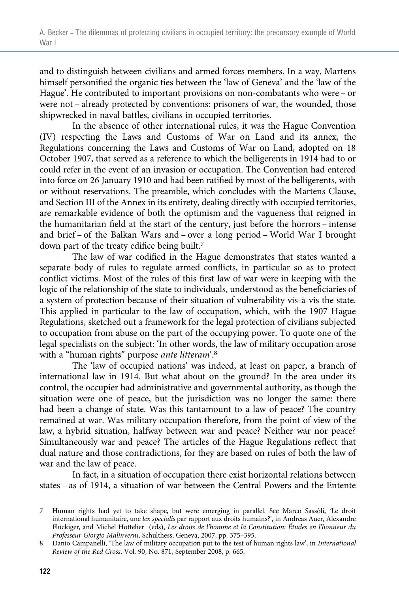A. Becker – The dilemmas of protecting civilians in occupied territory: the precursory example of World War I

and to distinguish between civilians and armed forces members. In a way, Martens himself personified the organic ties between the 'law of Geneva' and the 'law of the Hague'. He contributed to important provisions on non-combatants who were – or were not – already protected by conventions: prisoners of war, the wounded, those shipwrecked in naval battles, civilians in occupied territories.

In the absence of other international rules, it was the Hague Convention (IV) respecting the Laws and Customs of War on Land and its annex, the Regulations concerning the Laws and Customs of War on Land, adopted on 18 October 1907, that served as a reference to which the belligerents in 1914 had to or could refer in the event of an invasion or occupation. The Convention had entered into force on 26 January 1910 and had been ratified by most of the belligerents, with or without reservations. The preamble, which concludes with the Martens Clause, and Section III of the Annex in its entirety, dealing directly with occupied territories, are remarkable evidence of both the optimism and the vagueness that reigned in the humanitarian field at the start of the century, just before the horrors – intense and brief – of the Balkan Wars and – over a long period – World War I brought down part of the treaty edifice being built.<sup>7</sup>

The law of war codified in the Hague demonstrates that states wanted a separate body of rules to regulate armed conflicts, in particular so as to protect conflict victims. Most of the rules of this first law of war were in keeping with the logic of the relationship of the state to individuals, understood as the beneficiaries of a system of protection because of their situation of vulnerability vis-à-vis the state. This applied in particular to the law of occupation, which, with the 1907 Hague Regulations, sketched out a framework for the legal protection of civilians subjected to occupation from abuse on the part of the occupying power. To quote one of the legal specialists on the subject: 'In other words, the law of military occupation arose with a "human rights" purpose ante litteram'.<sup>8</sup>

The 'law of occupied nations' was indeed, at least on paper, a branch of international law in 1914. But what about on the ground? In the area under its control, the occupier had administrative and governmental authority, as though the situation were one of peace, but the jurisdiction was no longer the same: there had been a change of state. Was this tantamount to a law of peace? The country remained at war. Was military occupation therefore, from the point of view of the law, a hybrid situation, halfway between war and peace? Neither war nor peace? Simultaneously war and peace? The articles of the Hague Regulations reflect that dual nature and those contradictions, for they are based on rules of both the law of war and the law of peace.

In fact, in a situation of occupation there exist horizontal relations between states – as of 1914, a situation of war between the Central Powers and the Entente

<sup>7</sup> Human rights had yet to take shape, but were emerging in parallel. See Marco Sassòli, 'Le droit international humanitaire, une lex specialis par rapport aux droits humains?', in Andreas Auer, Alexandre Flückiger, and Michel Hottelier (eds), Les droits de l'homme et la Constitution: Études en l'honneur du Professeur Giorgio Malinverni, Schulthess, Geneva, 2007, pp. 375–395.

<sup>8</sup> Danio Campanelli, 'The law of military occupation put to the test of human rights law', in International Review of the Red Cross, Vol. 90, No. 871, September 2008, p. 665.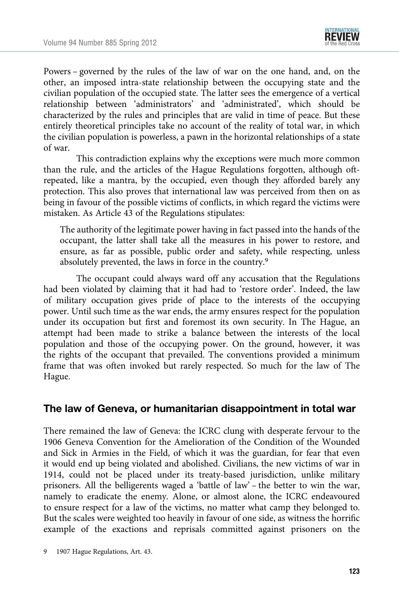Powers – governed by the rules of the law of war on the one hand, and, on the other, an imposed intra-state relationship between the occupying state and the civilian population of the occupied state. The latter sees the emergence of a vertical relationship between 'administrators' and 'administrated', which should be characterized by the rules and principles that are valid in time of peace. But these entirely theoretical principles take no account of the reality of total war, in which the civilian population is powerless, a pawn in the horizontal relationships of a state of war.

This contradiction explains why the exceptions were much more common than the rule, and the articles of the Hague Regulations forgotten, although oftrepeated, like a mantra, by the occupied, even though they afforded barely any protection. This also proves that international law was perceived from then on as being in favour of the possible victims of conflicts, in which regard the victims were mistaken. As Article 43 of the Regulations stipulates:

The authority of the legitimate power having in fact passed into the hands of the occupant, the latter shall take all the measures in his power to restore, and ensure, as far as possible, public order and safety, while respecting, unless absolutely prevented, the laws in force in the country.9

The occupant could always ward off any accusation that the Regulations had been violated by claiming that it had had to 'restore order'. Indeed, the law of military occupation gives pride of place to the interests of the occupying power. Until such time as the war ends, the army ensures respect for the population under its occupation but first and foremost its own security. In The Hague, an attempt had been made to strike a balance between the interests of the local population and those of the occupying power. On the ground, however, it was the rights of the occupant that prevailed. The conventions provided a minimum frame that was often invoked but rarely respected. So much for the law of The Hague.

# The law of Geneva, or humanitarian disappointment in total war

There remained the law of Geneva: the ICRC clung with desperate fervour to the 1906 Geneva Convention for the Amelioration of the Condition of the Wounded and Sick in Armies in the Field, of which it was the guardian, for fear that even it would end up being violated and abolished. Civilians, the new victims of war in 1914, could not be placed under its treaty-based jurisdiction, unlike military prisoners. All the belligerents waged a 'battle of law' – the better to win the war, namely to eradicate the enemy. Alone, or almost alone, the ICRC endeavoured to ensure respect for a law of the victims, no matter what camp they belonged to. But the scales were weighted too heavily in favour of one side, as witness the horrific example of the exactions and reprisals committed against prisoners on the

<sup>9 1907</sup> Hague Regulations, Art. 43.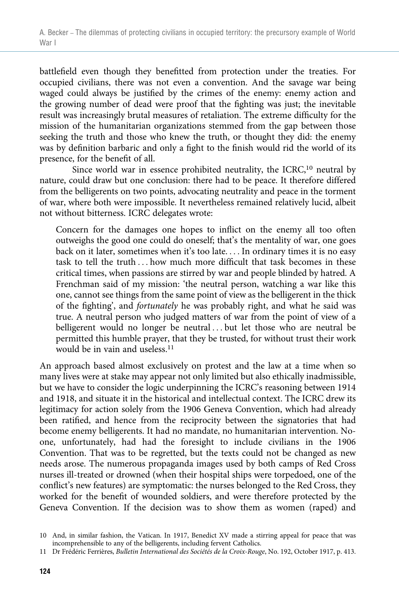battlefield even though they benefitted from protection under the treaties. For occupied civilians, there was not even a convention. And the savage war being waged could always be justified by the crimes of the enemy: enemy action and the growing number of dead were proof that the fighting was just; the inevitable result was increasingly brutal measures of retaliation. The extreme difficulty for the mission of the humanitarian organizations stemmed from the gap between those seeking the truth and those who knew the truth, or thought they did: the enemy was by definition barbaric and only a fight to the finish would rid the world of its presence, for the benefit of all.

Since world war in essence prohibited neutrality, the ICRC,<sup>10</sup> neutral by nature, could draw but one conclusion: there had to be peace. It therefore differed from the belligerents on two points, advocating neutrality and peace in the torment of war, where both were impossible. It nevertheless remained relatively lucid, albeit not without bitterness. ICRC delegates wrote:

Concern for the damages one hopes to inflict on the enemy all too often outweighs the good one could do oneself; that's the mentality of war, one goes back on it later, sometimes when it's too late. ... In ordinary times it is no easy task to tell the truth ... how much more difficult that task becomes in these critical times, when passions are stirred by war and people blinded by hatred. A Frenchman said of my mission: 'the neutral person, watching a war like this one, cannot see things from the same point of view as the belligerent in the thick of the fighting', and fortunately he was probably right, and what he said was true. A neutral person who judged matters of war from the point of view of a belligerent would no longer be neutral ... but let those who are neutral be permitted this humble prayer, that they be trusted, for without trust their work would be in vain and useless.11

An approach based almost exclusively on protest and the law at a time when so many lives were at stake may appear not only limited but also ethically inadmissible, but we have to consider the logic underpinning the ICRC's reasoning between 1914 and 1918, and situate it in the historical and intellectual context. The ICRC drew its legitimacy for action solely from the 1906 Geneva Convention, which had already been ratified, and hence from the reciprocity between the signatories that had become enemy belligerents. It had no mandate, no humanitarian intervention. Noone, unfortunately, had had the foresight to include civilians in the 1906 Convention. That was to be regretted, but the texts could not be changed as new needs arose. The numerous propaganda images used by both camps of Red Cross nurses ill-treated or drowned (when their hospital ships were torpedoed, one of the conflict's new features) are symptomatic: the nurses belonged to the Red Cross, they worked for the benefit of wounded soldiers, and were therefore protected by the Geneva Convention. If the decision was to show them as women (raped) and

<sup>10</sup> And, in similar fashion, the Vatican. In 1917, Benedict XV made a stirring appeal for peace that was incomprehensible to any of the belligerents, including fervent Catholics.

<sup>11</sup> Dr Frédéric Ferrières, Bulletin International des Sociétés de la Croix-Rouge, No. 192, October 1917, p. 413.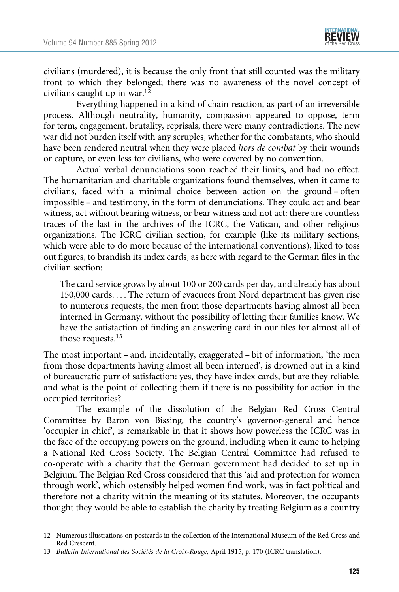civilians (murdered), it is because the only front that still counted was the military front to which they belonged; there was no awareness of the novel concept of civilians caught up in war.12

Everything happened in a kind of chain reaction, as part of an irreversible process. Although neutrality, humanity, compassion appeared to oppose, term for term, engagement, brutality, reprisals, there were many contradictions. The new war did not burden itself with any scruples, whether for the combatants, who should have been rendered neutral when they were placed hors de combat by their wounds or capture, or even less for civilians, who were covered by no convention.

Actual verbal denunciations soon reached their limits, and had no effect. The humanitarian and charitable organizations found themselves, when it came to civilians, faced with a minimal choice between action on the ground – often impossible – and testimony, in the form of denunciations. They could act and bear witness, act without bearing witness, or bear witness and not act: there are countless traces of the last in the archives of the ICRC, the Vatican, and other religious organizations. The ICRC civilian section, for example (like its military sections, which were able to do more because of the international conventions), liked to toss out figures, to brandish its index cards, as here with regard to the German files in the civilian section:

The card service grows by about 100 or 200 cards per day, and already has about 150,000 cards. ... The return of evacuees from Nord department has given rise to numerous requests, the men from those departments having almost all been interned in Germany, without the possibility of letting their families know. We have the satisfaction of finding an answering card in our files for almost all of those requests.13

The most important – and, incidentally, exaggerated – bit of information, 'the men from those departments having almost all been interned', is drowned out in a kind of bureaucratic purr of satisfaction: yes, they have index cards, but are they reliable, and what is the point of collecting them if there is no possibility for action in the occupied territories?

The example of the dissolution of the Belgian Red Cross Central Committee by Baron von Bissing, the country's governor-general and hence 'occupier in chief', is remarkable in that it shows how powerless the ICRC was in the face of the occupying powers on the ground, including when it came to helping a National Red Cross Society. The Belgian Central Committee had refused to co-operate with a charity that the German government had decided to set up in Belgium. The Belgian Red Cross considered that this 'aid and protection for women through work', which ostensibly helped women find work, was in fact political and therefore not a charity within the meaning of its statutes. Moreover, the occupants thought they would be able to establish the charity by treating Belgium as a country

<sup>12</sup> Numerous illustrations on postcards in the collection of the International Museum of the Red Cross and Red Crescent.

<sup>13</sup> Bulletin International des Sociétés de la Croix-Rouge, April 1915, p. 170 (ICRC translation).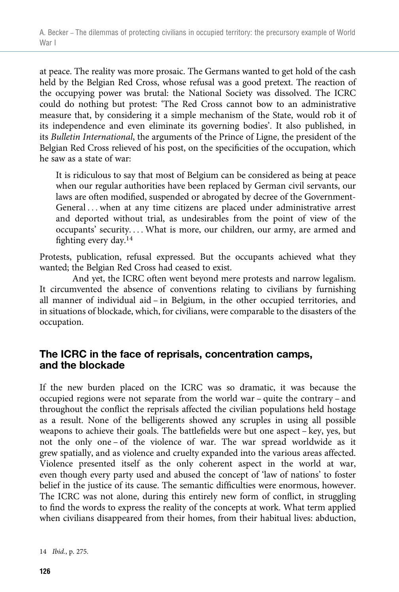at peace. The reality was more prosaic. The Germans wanted to get hold of the cash held by the Belgian Red Cross, whose refusal was a good pretext. The reaction of the occupying power was brutal: the National Society was dissolved. The ICRC could do nothing but protest: 'The Red Cross cannot bow to an administrative measure that, by considering it a simple mechanism of the State, would rob it of its independence and even eliminate its governing bodies'. It also published, in its Bulletin International, the arguments of the Prince of Ligne, the president of the Belgian Red Cross relieved of his post, on the specificities of the occupation, which he saw as a state of war:

It is ridiculous to say that most of Belgium can be considered as being at peace when our regular authorities have been replaced by German civil servants, our laws are often modified, suspended or abrogated by decree of the Government-General ... when at any time citizens are placed under administrative arrest and deported without trial, as undesirables from the point of view of the occupants' security. ... What is more, our children, our army, are armed and fighting every day.<sup>14</sup>

Protests, publication, refusal expressed. But the occupants achieved what they wanted; the Belgian Red Cross had ceased to exist.

And yet, the ICRC often went beyond mere protests and narrow legalism. It circumvented the absence of conventions relating to civilians by furnishing all manner of individual aid – in Belgium, in the other occupied territories, and in situations of blockade, which, for civilians, were comparable to the disasters of the occupation.

# The ICRC in the face of reprisals, concentration camps, and the blockade

If the new burden placed on the ICRC was so dramatic, it was because the occupied regions were not separate from the world war – quite the contrary – and throughout the conflict the reprisals affected the civilian populations held hostage as a result. None of the belligerents showed any scruples in using all possible weapons to achieve their goals. The battlefields were but one aspect – key, yes, but not the only one – of the violence of war. The war spread worldwide as it grew spatially, and as violence and cruelty expanded into the various areas affected. Violence presented itself as the only coherent aspect in the world at war, even though every party used and abused the concept of 'law of nations' to foster belief in the justice of its cause. The semantic difficulties were enormous, however. The ICRC was not alone, during this entirely new form of conflict, in struggling to find the words to express the reality of the concepts at work. What term applied when civilians disappeared from their homes, from their habitual lives: abduction,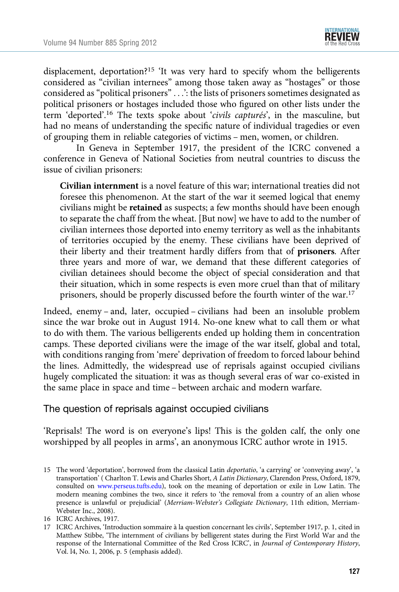

displacement, deportation?15 'It was very hard to specify whom the belligerents considered as "civilian internees" among those taken away as "hostages" or those considered as "political prisoners" ...': the lists of prisoners sometimes designated as political prisoners or hostages included those who figured on other lists under the term 'deported'.<sup>16</sup> The texts spoke about 'civils capturés', in the masculine, but had no means of understanding the specific nature of individual tragedies or even of grouping them in reliable categories of victims – men, women, or children.

In Geneva in September 1917, the president of the ICRC convened a conference in Geneva of National Societies from neutral countries to discuss the issue of civilian prisoners:

Civilian internment is a novel feature of this war; international treaties did not foresee this phenomenon. At the start of the war it seemed logical that enemy civilians might be retained as suspects; a few months should have been enough to separate the chaff from the wheat. [But now] we have to add to the number of civilian internees those deported into enemy territory as well as the inhabitants of territories occupied by the enemy. These civilians have been deprived of their liberty and their treatment hardly differs from that of prisoners. After three years and more of war, we demand that these different categories of civilian detainees should become the object of special consideration and that their situation, which in some respects is even more cruel than that of military prisoners, should be properly discussed before the fourth winter of the war.17

Indeed, enemy – and, later, occupied – civilians had been an insoluble problem since the war broke out in August 1914. No-one knew what to call them or what to do with them. The various belligerents ended up holding them in concentration camps. These deported civilians were the image of the war itself, global and total, with conditions ranging from 'mere' deprivation of freedom to forced labour behind the lines. Admittedly, the widespread use of reprisals against occupied civilians hugely complicated the situation: it was as though several eras of war co-existed in the same place in space and time – between archaic and modern warfare.

### The question of reprisals against occupied civilians

'Reprisals! The word is on everyone's lips! This is the golden calf, the only one worshipped by all peoples in arms', an anonymous ICRC author wrote in 1915.

<sup>15</sup> The word 'deportation', borrowed from the classical Latin deportatio, 'a carrying' or 'conveying away', 'a transportation' ( Charlton T. Lewis and Charles Short, A Latin Dictionary, Clarendon Press, Oxford, 1879, consulted on [www.perseus.tufts.edu\)](http://www.perseus.tufts.edu), took on the meaning of deportation or exile in Low Latin. The modern meaning combines the two, since it refers to 'the removal from a country of an alien whose presence is unlawful or prejudicial' (Merriam-Webster's Collegiate Dictionary, 11th edition, Merriam-Webster Inc., 2008).

<sup>16</sup> ICRC Archives, 1917.

<sup>17</sup> ICRC Archives, 'Introduction sommaire à la question concernant les civils', September 1917, p. 1, cited in Matthew Stibbe, 'The internment of civilians by belligerent states during the First World War and the response of the International Committee of the Red Cross ICRC', in Journal of Contemporary History, Vol. l4, No. 1, 2006, p. 5 (emphasis added).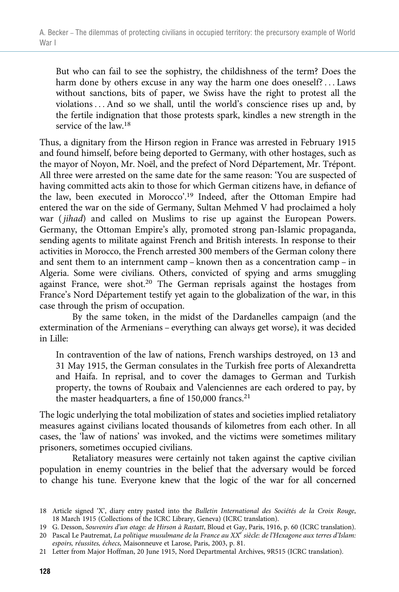But who can fail to see the sophistry, the childishness of the term? Does the harm done by others excuse in any way the harm one does oneself? ... Laws without sanctions, bits of paper, we Swiss have the right to protest all the violations ... And so we shall, until the world's conscience rises up and, by the fertile indignation that those protests spark, kindles a new strength in the service of the law.18

Thus, a dignitary from the Hirson region in France was arrested in February 1915 and found himself, before being deported to Germany, with other hostages, such as the mayor of Noyon, Mr. Noël, and the prefect of Nord Département, Mr. Trépont. All three were arrested on the same date for the same reason: 'You are suspected of having committed acts akin to those for which German citizens have, in defiance of the law, been executed in Morocco'. <sup>19</sup> Indeed, after the Ottoman Empire had entered the war on the side of Germany, Sultan Mehmed V had proclaimed a holy war (jihad) and called on Muslims to rise up against the European Powers. Germany, the Ottoman Empire's ally, promoted strong pan-Islamic propaganda, sending agents to militate against French and British interests. In response to their activities in Morocco, the French arrested 300 members of the German colony there and sent them to an internment camp – known then as a concentration camp – in Algeria. Some were civilians. Others, convicted of spying and arms smuggling against France, were shot.<sup>20</sup> The German reprisals against the hostages from France's Nord Département testify yet again to the globalization of the war, in this case through the prism of occupation.

By the same token, in the midst of the Dardanelles campaign (and the extermination of the Armenians – everything can always get worse), it was decided in Lille:

In contravention of the law of nations, French warships destroyed, on 13 and 31 May 1915, the German consulates in the Turkish free ports of Alexandretta and Haifa. In reprisal, and to cover the damages to German and Turkish property, the towns of Roubaix and Valenciennes are each ordered to pay, by the master headquarters, a fine of 150,000 francs.<sup>21</sup>

The logic underlying the total mobilization of states and societies implied retaliatory measures against civilians located thousands of kilometres from each other. In all cases, the 'law of nations' was invoked, and the victims were sometimes military prisoners, sometimes occupied civilians.

Retaliatory measures were certainly not taken against the captive civilian population in enemy countries in the belief that the adversary would be forced to change his tune. Everyone knew that the logic of the war for all concerned

<sup>18</sup> Article signed 'X', diary entry pasted into the Bulletin International des Sociétés de la Croix Rouge, 18 March 1915 (Collections of the ICRC Library, Geneva) (ICRC translation).

<sup>19</sup> G. Desson, Souvenirs d'un otage: de Hirson à Rastatt, Bloud et Gay, Paris, 1916, p. 60 (ICRC translation). 20 Pascal Le Pautremat, La politique musulmane de la France au XX<sup>e</sup> siècle: de l'Hexagone aux terres d'Islam:

espoirs, réussites, échecs, Maisonneuve et Larose, Paris, 2003, p. 81.

<sup>21</sup> Letter from Major Hoffman, 20 June 1915, Nord Departmental Archives, 9R515 (ICRC translation).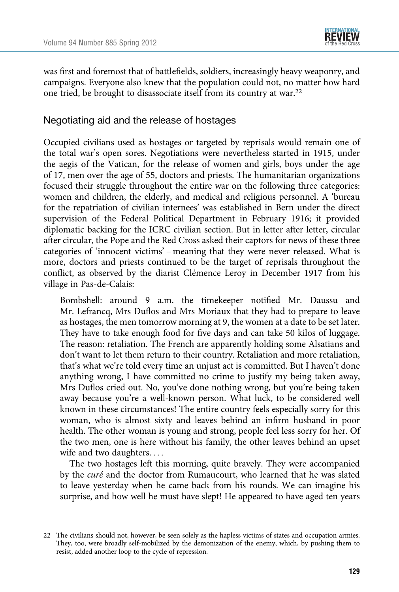

was first and foremost that of battlefields, soldiers, increasingly heavy weaponry, and campaigns. Everyone also knew that the population could not, no matter how hard one tried, be brought to disassociate itself from its country at war.22

## Negotiating aid and the release of hostages

Occupied civilians used as hostages or targeted by reprisals would remain one of the total war's open sores. Negotiations were nevertheless started in 1915, under the aegis of the Vatican, for the release of women and girls, boys under the age of 17, men over the age of 55, doctors and priests. The humanitarian organizations focused their struggle throughout the entire war on the following three categories: women and children, the elderly, and medical and religious personnel. A 'bureau for the repatriation of civilian internees' was established in Bern under the direct supervision of the Federal Political Department in February 1916; it provided diplomatic backing for the ICRC civilian section. But in letter after letter, circular after circular, the Pope and the Red Cross asked their captors for news of these three categories of 'innocent victims' – meaning that they were never released. What is more, doctors and priests continued to be the target of reprisals throughout the conflict, as observed by the diarist Clémence Leroy in December 1917 from his village in Pas-de-Calais:

Bombshell: around 9 a.m. the timekeeper notified Mr. Daussu and Mr. Lefrancq, Mrs Duflos and Mrs Moriaux that they had to prepare to leave as hostages, the men tomorrow morning at 9, the women at a date to be set later. They have to take enough food for five days and can take 50 kilos of luggage. The reason: retaliation. The French are apparently holding some Alsatians and don't want to let them return to their country. Retaliation and more retaliation, that's what we're told every time an unjust act is committed. But I haven't done anything wrong, I have committed no crime to justify my being taken away, Mrs Duflos cried out. No, you've done nothing wrong, but you're being taken away because you're a well-known person. What luck, to be considered well known in these circumstances! The entire country feels especially sorry for this woman, who is almost sixty and leaves behind an infirm husband in poor health. The other woman is young and strong, people feel less sorry for her. Of the two men, one is here without his family, the other leaves behind an upset wife and two daughters. ...

The two hostages left this morning, quite bravely. They were accompanied by the curé and the doctor from Rumaucourt, who learned that he was slated to leave yesterday when he came back from his rounds. We can imagine his surprise, and how well he must have slept! He appeared to have aged ten years

<sup>22</sup> The civilians should not, however, be seen solely as the hapless victims of states and occupation armies. They, too, were broadly self-mobilized by the demonization of the enemy, which, by pushing them to resist, added another loop to the cycle of repression.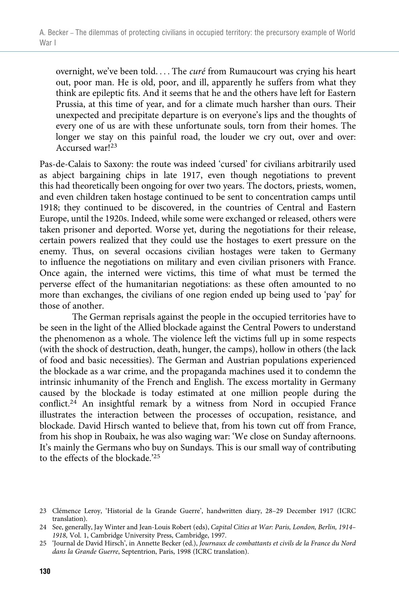overnight, we've been told.... The *curé* from Rumaucourt was crying his heart out, poor man. He is old, poor, and ill, apparently he suffers from what they think are epileptic fits. And it seems that he and the others have left for Eastern Prussia, at this time of year, and for a climate much harsher than ours. Their unexpected and precipitate departure is on everyone's lips and the thoughts of every one of us are with these unfortunate souls, torn from their homes. The longer we stay on this painful road, the louder we cry out, over and over: Accursed war!<sup>23</sup>

Pas-de-Calais to Saxony: the route was indeed 'cursed' for civilians arbitrarily used as abject bargaining chips in late 1917, even though negotiations to prevent this had theoretically been ongoing for over two years. The doctors, priests, women, and even children taken hostage continued to be sent to concentration camps until 1918; they continued to be discovered, in the countries of Central and Eastern Europe, until the 1920s. Indeed, while some were exchanged or released, others were taken prisoner and deported. Worse yet, during the negotiations for their release, certain powers realized that they could use the hostages to exert pressure on the enemy. Thus, on several occasions civilian hostages were taken to Germany to influence the negotiations on military and even civilian prisoners with France. Once again, the interned were victims, this time of what must be termed the perverse effect of the humanitarian negotiations: as these often amounted to no more than exchanges, the civilians of one region ended up being used to 'pay' for those of another.

The German reprisals against the people in the occupied territories have to be seen in the light of the Allied blockade against the Central Powers to understand the phenomenon as a whole. The violence left the victims full up in some respects (with the shock of destruction, death, hunger, the camps), hollow in others (the lack of food and basic necessities). The German and Austrian populations experienced the blockade as a war crime, and the propaganda machines used it to condemn the intrinsic inhumanity of the French and English. The excess mortality in Germany caused by the blockade is today estimated at one million people during the conflict.<sup>24</sup> An insightful remark by a witness from Nord in occupied France illustrates the interaction between the processes of occupation, resistance, and blockade. David Hirsch wanted to believe that, from his town cut off from France, from his shop in Roubaix, he was also waging war: 'We close on Sunday afternoons. It's mainly the Germans who buy on Sundays. This is our small way of contributing to the effects of the blockade.' 25

<sup>23</sup> Clémence Leroy, 'Historial de la Grande Guerre', handwritten diary, 28–29 December 1917 (ICRC translation).

<sup>24</sup> See, generally, Jay Winter and Jean-Louis Robert (eds), Capital Cities at War: Paris, London, Berlin, 1914– 1918, Vol. 1, Cambridge University Press, Cambridge, 1997.

<sup>25</sup> 'Journal de David Hirsch', in Annette Becker (ed.), Journaux de combattants et civils de la France du Nord dans la Grande Guerre, Septentrion, Paris, 1998 (ICRC translation).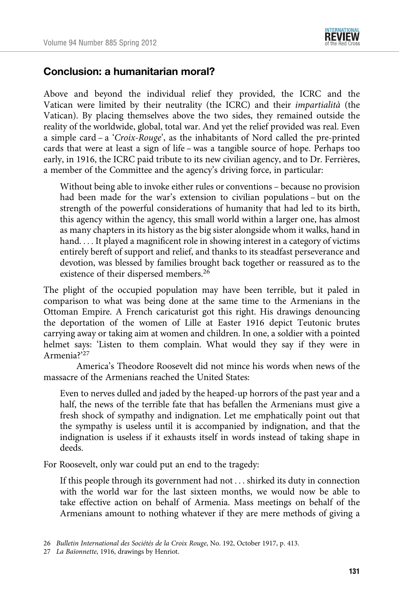

# Conclusion: a humanitarian moral?

Above and beyond the individual relief they provided, the ICRC and the Vatican were limited by their neutrality (the ICRC) and their impartialità (the Vatican). By placing themselves above the two sides, they remained outside the reality of the worldwide, global, total war. And yet the relief provided was real. Even a simple card – a 'Croix-Rouge', as the inhabitants of Nord called the pre-printed cards that were at least a sign of life – was a tangible source of hope. Perhaps too early, in 1916, the ICRC paid tribute to its new civilian agency, and to Dr. Ferrières, a member of the Committee and the agency's driving force, in particular:

Without being able to invoke either rules or conventions – because no provision had been made for the war's extension to civilian populations – but on the strength of the powerful considerations of humanity that had led to its birth, this agency within the agency, this small world within a larger one, has almost as many chapters in its history as the big sister alongside whom it walks, hand in hand.... It played a magnificent role in showing interest in a category of victims entirely bereft of support and relief, and thanks to its steadfast perseverance and devotion, was blessed by families brought back together or reassured as to the existence of their dispersed members.26

The plight of the occupied population may have been terrible, but it paled in comparison to what was being done at the same time to the Armenians in the Ottoman Empire. A French caricaturist got this right. His drawings denouncing the deportation of the women of Lille at Easter 1916 depict Teutonic brutes carrying away or taking aim at women and children. In one, a soldier with a pointed helmet says: 'Listen to them complain. What would they say if they were in Armenia?' 27

America's Theodore Roosevelt did not mince his words when news of the massacre of the Armenians reached the United States:

Even to nerves dulled and jaded by the heaped-up horrors of the past year and a half, the news of the terrible fate that has befallen the Armenians must give a fresh shock of sympathy and indignation. Let me emphatically point out that the sympathy is useless until it is accompanied by indignation, and that the indignation is useless if it exhausts itself in words instead of taking shape in deeds.

For Roosevelt, only war could put an end to the tragedy:

If this people through its government had not ... shirked its duty in connection with the world war for the last sixteen months, we would now be able to take effective action on behalf of Armenia. Mass meetings on behalf of the Armenians amount to nothing whatever if they are mere methods of giving a

<sup>26</sup> Bulletin International des Sociétés de la Croix Rouge, No. 192, October 1917, p. 413.

<sup>27</sup> La Baïonnette, 1916, drawings by Henriot.